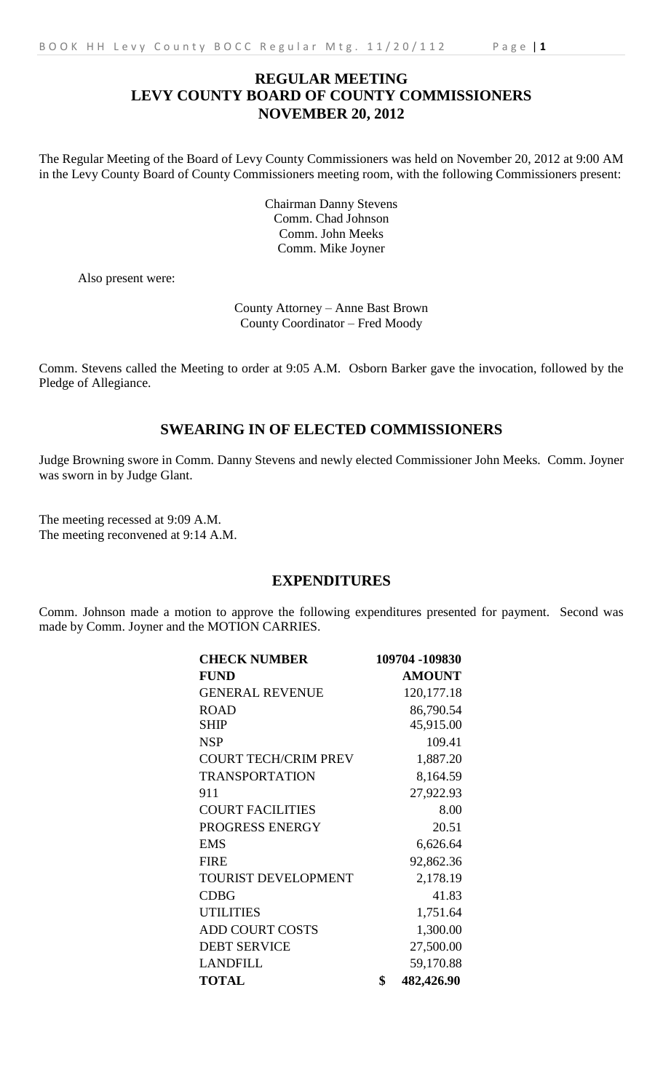The Regular Meeting of the Board of Levy County Commissioners was held on November 20, 2012 at 9:00 AM in the Levy County Board of County Commissioners meeting room, with the following Commissioners present:

> Chairman Danny Stevens Comm. Chad Johnson Comm. John Meeks Comm. Mike Joyner

Also present were:

County Attorney – Anne Bast Brown County Coordinator – Fred Moody

Comm. Stevens called the Meeting to order at 9:05 A.M. Osborn Barker gave the invocation, followed by the Pledge of Allegiance.

# **SWEARING IN OF ELECTED COMMISSIONERS**

Judge Browning swore in Comm. Danny Stevens and newly elected Commissioner John Meeks. Comm. Joyner was sworn in by Judge Glant.

The meeting recessed at 9:09 A.M. The meeting reconvened at 9:14 A.M.

## **EXPENDITURES**

Comm. Johnson made a motion to approve the following expenditures presented for payment. Second was made by Comm. Joyner and the MOTION CARRIES.

| <b>CHECK NUMBER</b>         | 109704 -109830   |
|-----------------------------|------------------|
| <b>FUND</b>                 | <b>AMOUNT</b>    |
| <b>GENERAL REVENUE</b>      | 120, 177. 18     |
| <b>ROAD</b>                 | 86,790.54        |
| <b>SHIP</b>                 | 45,915.00        |
| <b>NSP</b>                  | 109.41           |
| <b>COURT TECH/CRIM PREV</b> | 1,887.20         |
| <b>TRANSPORTATION</b>       | 8,164.59         |
| 911                         | 27,922.93        |
| <b>COURT FACILITIES</b>     | 8.00             |
| PROGRESS ENERGY             | 20.51            |
| <b>EMS</b>                  | 6,626.64         |
| <b>FIRE</b>                 | 92,862.36        |
| TOURIST DEVELOPMENT         | 2,178.19         |
| <b>CDBG</b>                 | 41.83            |
| <b>UTILITIES</b>            | 1,751.64         |
| <b>ADD COURT COSTS</b>      | 1,300.00         |
| <b>DEBT SERVICE</b>         | 27,500.00        |
| <b>LANDFILL</b>             | 59,170.88        |
| <b>TOTAL</b>                | \$<br>482,426.90 |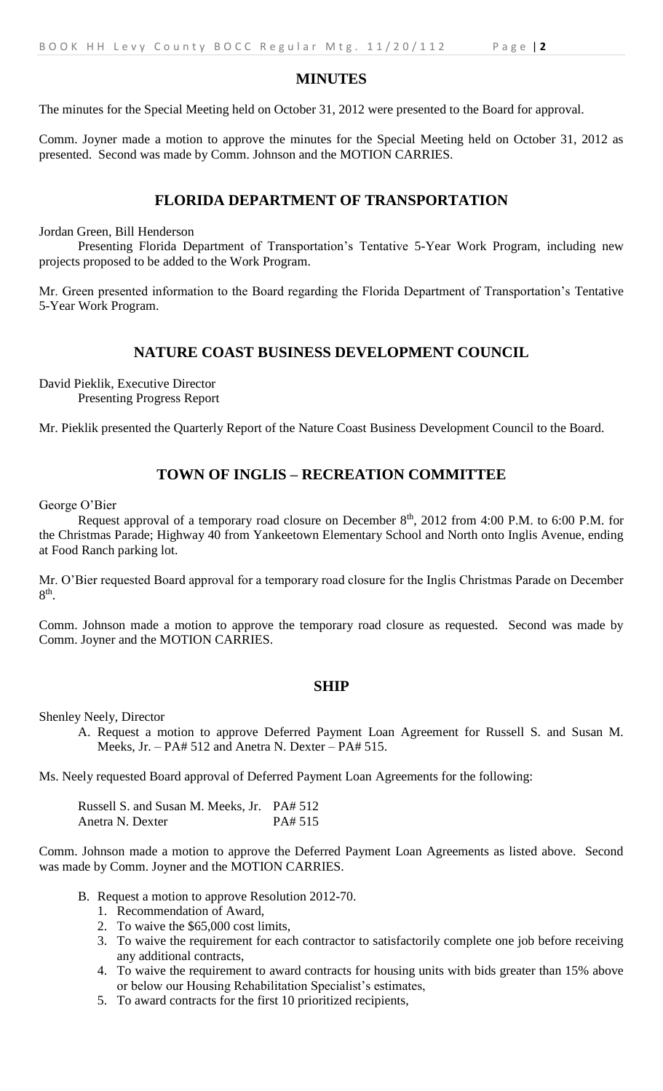### **MINUTES**

The minutes for the Special Meeting held on October 31, 2012 were presented to the Board for approval.

Comm. Joyner made a motion to approve the minutes for the Special Meeting held on October 31, 2012 as presented. Second was made by Comm. Johnson and the MOTION CARRIES.

### **FLORIDA DEPARTMENT OF TRANSPORTATION**

Jordan Green, Bill Henderson

Presenting Florida Department of Transportation's Tentative 5-Year Work Program, including new projects proposed to be added to the Work Program.

Mr. Green presented information to the Board regarding the Florida Department of Transportation's Tentative 5-Year Work Program.

### **NATURE COAST BUSINESS DEVELOPMENT COUNCIL**

David Pieklik, Executive Director Presenting Progress Report

Mr. Pieklik presented the Quarterly Report of the Nature Coast Business Development Council to the Board.

## **TOWN OF INGLIS – RECREATION COMMITTEE**

George O'Bier

Request approval of a temporary road closure on December  $8<sup>th</sup>$ , 2012 from 4:00 P.M. to 6:00 P.M. for the Christmas Parade; Highway 40 from Yankeetown Elementary School and North onto Inglis Avenue, ending at Food Ranch parking lot.

Mr. O'Bier requested Board approval for a temporary road closure for the Inglis Christmas Parade on December  $8<sup>th</sup>$ .

Comm. Johnson made a motion to approve the temporary road closure as requested. Second was made by Comm. Joyner and the MOTION CARRIES.

#### **SHIP**

Shenley Neely, Director

A. Request a motion to approve Deferred Payment Loan Agreement for Russell S. and Susan M. Meeks, Jr. – PA# 512 and Anetra N. Dexter – PA# 515.

Ms. Neely requested Board approval of Deferred Payment Loan Agreements for the following:

Russell S. and Susan M. Meeks, Jr. PA# 512 Anetra N. Dexter PA# 515

Comm. Johnson made a motion to approve the Deferred Payment Loan Agreements as listed above. Second was made by Comm. Joyner and the MOTION CARRIES.

- B. Request a motion to approve Resolution 2012-70.
	- 1. Recommendation of Award,
	- 2. To waive the \$65,000 cost limits,
	- 3. To waive the requirement for each contractor to satisfactorily complete one job before receiving any additional contracts,
	- 4. To waive the requirement to award contracts for housing units with bids greater than 15% above or below our Housing Rehabilitation Specialist's estimates,
	- 5. To award contracts for the first 10 prioritized recipients,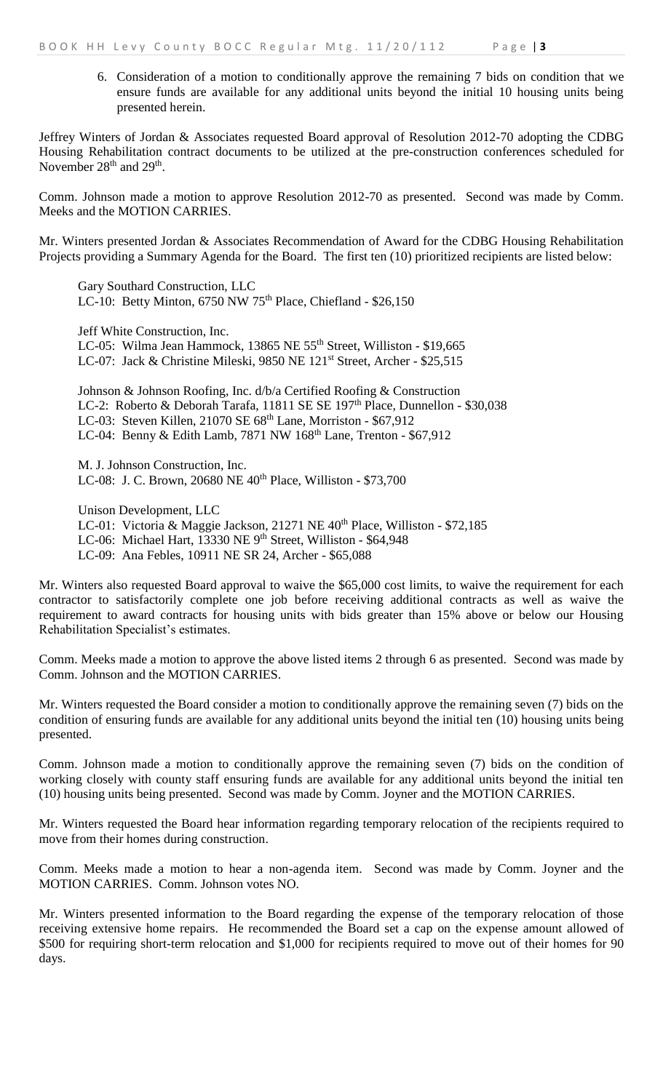6. Consideration of a motion to conditionally approve the remaining 7 bids on condition that we ensure funds are available for any additional units beyond the initial 10 housing units being presented herein.

Jeffrey Winters of Jordan & Associates requested Board approval of Resolution 2012-70 adopting the CDBG Housing Rehabilitation contract documents to be utilized at the pre-construction conferences scheduled for November  $28<sup>th</sup>$  and  $29<sup>th</sup>$ .

Comm. Johnson made a motion to approve Resolution 2012-70 as presented. Second was made by Comm. Meeks and the MOTION CARRIES.

Mr. Winters presented Jordan & Associates Recommendation of Award for the CDBG Housing Rehabilitation Projects providing a Summary Agenda for the Board. The first ten (10) prioritized recipients are listed below:

Gary Southard Construction, LLC LC-10: Betty Minton,  $6750$  NW  $75<sup>th</sup>$  Place, Chiefland - \$26,150

Jeff White Construction, Inc. LC-05: Wilma Jean Hammock, 13865 NE 55<sup>th</sup> Street, Williston - \$19,665 LC-07: Jack & Christine Mileski, 9850 NE 121<sup>st</sup> Street, Archer - \$25,515

Johnson & Johnson Roofing, Inc. d/b/a Certified Roofing & Construction LC-2: Roberto & Deborah Tarafa, 11811 SE SE 197<sup>th</sup> Place, Dunnellon - \$30,038 LC-03: Steven Killen, 21070 SE 68<sup>th</sup> Lane, Morriston - \$67,912 LC-04: Benny & Edith Lamb, 7871 NW 168<sup>th</sup> Lane, Trenton - \$67,912

M. J. Johnson Construction, Inc. LC-08: J. C. Brown, 20680 NE 40<sup>th</sup> Place, Williston - \$73,700

Unison Development, LLC LC-01: Victoria & Maggie Jackson, 21271 NE 40<sup>th</sup> Place, Williston - \$72,185 LC-06: Michael Hart, 13330 NE 9<sup>th</sup> Street, Williston - \$64,948 LC-09: Ana Febles, 10911 NE SR 24, Archer - \$65,088

Mr. Winters also requested Board approval to waive the \$65,000 cost limits, to waive the requirement for each contractor to satisfactorily complete one job before receiving additional contracts as well as waive the requirement to award contracts for housing units with bids greater than 15% above or below our Housing Rehabilitation Specialist's estimates.

Comm. Meeks made a motion to approve the above listed items 2 through 6 as presented. Second was made by Comm. Johnson and the MOTION CARRIES.

Mr. Winters requested the Board consider a motion to conditionally approve the remaining seven (7) bids on the condition of ensuring funds are available for any additional units beyond the initial ten (10) housing units being presented.

Comm. Johnson made a motion to conditionally approve the remaining seven (7) bids on the condition of working closely with county staff ensuring funds are available for any additional units beyond the initial ten (10) housing units being presented. Second was made by Comm. Joyner and the MOTION CARRIES.

Mr. Winters requested the Board hear information regarding temporary relocation of the recipients required to move from their homes during construction.

Comm. Meeks made a motion to hear a non-agenda item. Second was made by Comm. Joyner and the MOTION CARRIES. Comm. Johnson votes NO.

Mr. Winters presented information to the Board regarding the expense of the temporary relocation of those receiving extensive home repairs. He recommended the Board set a cap on the expense amount allowed of \$500 for requiring short-term relocation and \$1,000 for recipients required to move out of their homes for 90 days.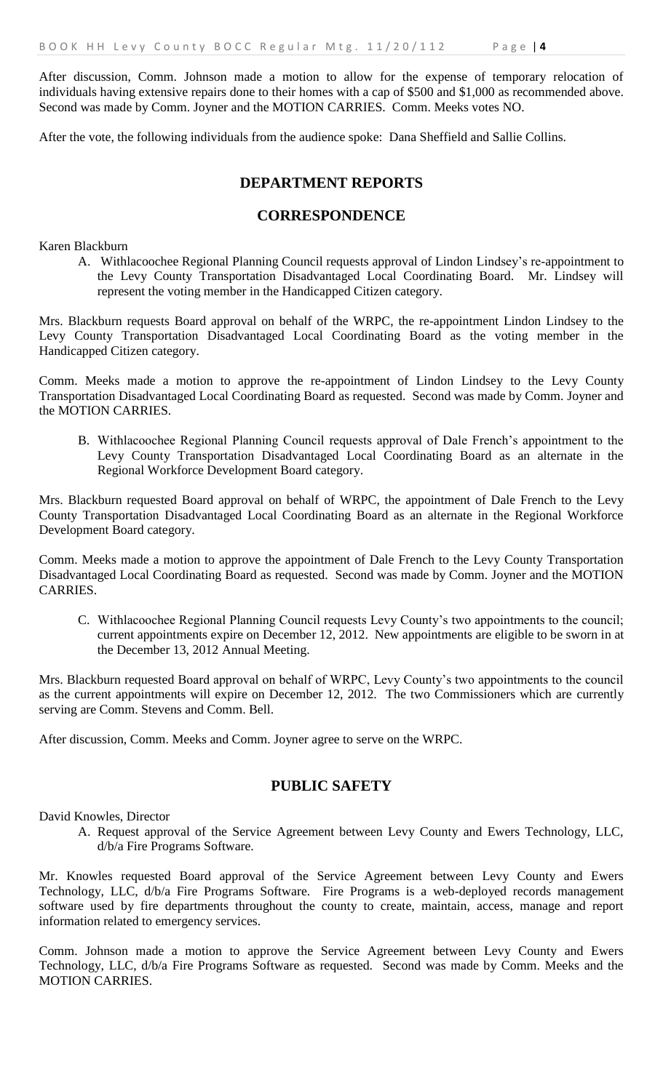After discussion, Comm. Johnson made a motion to allow for the expense of temporary relocation of individuals having extensive repairs done to their homes with a cap of \$500 and \$1,000 as recommended above. Second was made by Comm. Joyner and the MOTION CARRIES. Comm. Meeks votes NO.

After the vote, the following individuals from the audience spoke: Dana Sheffield and Sallie Collins.

## **DEPARTMENT REPORTS**

## **CORRESPONDENCE**

Karen Blackburn

A. Withlacoochee Regional Planning Council requests approval of Lindon Lindsey's re-appointment to the Levy County Transportation Disadvantaged Local Coordinating Board. Mr. Lindsey will represent the voting member in the Handicapped Citizen category.

Mrs. Blackburn requests Board approval on behalf of the WRPC, the re-appointment Lindon Lindsey to the Levy County Transportation Disadvantaged Local Coordinating Board as the voting member in the Handicapped Citizen category.

Comm. Meeks made a motion to approve the re-appointment of Lindon Lindsey to the Levy County Transportation Disadvantaged Local Coordinating Board as requested. Second was made by Comm. Joyner and the MOTION CARRIES.

B. Withlacoochee Regional Planning Council requests approval of Dale French's appointment to the Levy County Transportation Disadvantaged Local Coordinating Board as an alternate in the Regional Workforce Development Board category.

Mrs. Blackburn requested Board approval on behalf of WRPC, the appointment of Dale French to the Levy County Transportation Disadvantaged Local Coordinating Board as an alternate in the Regional Workforce Development Board category.

Comm. Meeks made a motion to approve the appointment of Dale French to the Levy County Transportation Disadvantaged Local Coordinating Board as requested. Second was made by Comm. Joyner and the MOTION CARRIES.

C. Withlacoochee Regional Planning Council requests Levy County's two appointments to the council; current appointments expire on December 12, 2012. New appointments are eligible to be sworn in at the December 13, 2012 Annual Meeting.

Mrs. Blackburn requested Board approval on behalf of WRPC, Levy County's two appointments to the council as the current appointments will expire on December 12, 2012. The two Commissioners which are currently serving are Comm. Stevens and Comm. Bell.

After discussion, Comm. Meeks and Comm. Joyner agree to serve on the WRPC.

## **PUBLIC SAFETY**

David Knowles, Director

A. Request approval of the Service Agreement between Levy County and Ewers Technology, LLC, d/b/a Fire Programs Software.

Mr. Knowles requested Board approval of the Service Agreement between Levy County and Ewers Technology, LLC, d/b/a Fire Programs Software. Fire Programs is a web-deployed records management software used by fire departments throughout the county to create, maintain, access, manage and report information related to emergency services.

Comm. Johnson made a motion to approve the Service Agreement between Levy County and Ewers Technology, LLC, d/b/a Fire Programs Software as requested. Second was made by Comm. Meeks and the MOTION CARRIES.